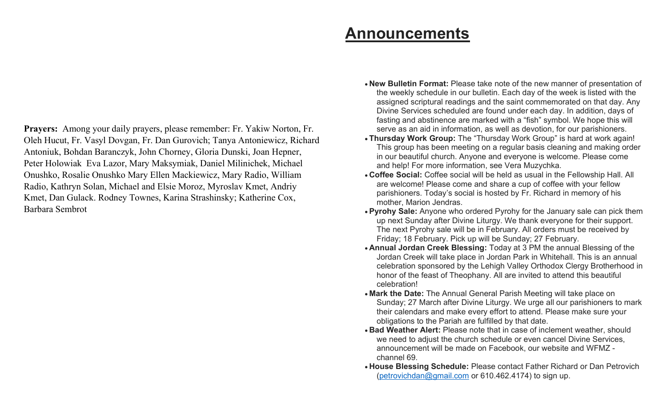Prayers: Among your daily prayers, please remember: Fr. Yakiw Norton, Fr. Oleh Hucut, Fr. Vasyl Dovgan, Fr. Dan Gurovich; Tanya Antoniewicz, Richard Antoniuk, Bohdan Baranczyk, John Chorney, Gloria Dunski, Joan Hepner, Peter Holowiak Eva Lazor, Mary Maksymiak, Daniel Milinichek, Michael Onushko, Rosalie Onushko Mary Ellen Mackiewicz, Mary Radio, William Radio, Kathryn Solan, Michael and Elsie Moroz, Myroslav Kmet, Andriy Kmet, Dan Gulack. Rodney Townes, Karina Strashinsky; Katherine Cox, Barbara Sembrot

## Announcements

- New Bulletin Format: Please take note of the new manner of presentation of the weekly schedule in our bulletin. Each day of the week is listed with the assigned scriptural readings and the saint commemorated on that day. Any Divine Services scheduled are found under each day. In addition, days of fasting and abstinence are marked with a "fish" symbol. We hope this will serve as an aid in information, as well as devotion, for our parishioners.
- Thursday Work Group: The "Thursday Work Group" is hard at work again! This group has been meeting on a regular basis cleaning and making order in our beautiful church. Anyone and everyone is welcome. Please come and help! For more information, see Vera Muzychka.
- Coffee Social: Coffee social will be held as usual in the Fellowship Hall. All are welcome! Please come and share a cup of coffee with your fellow parishioners. Today's social is hosted by Fr. Richard in memory of his mother, Marion Jendras.
- Pyrohy Sale: Anyone who ordered Pyrohy for the January sale can pick them up next Sunday after Divine Liturgy. We thank everyone for their support. The next Pyrohy sale will be in February. All orders must be received by Friday; 18 February. Pick up will be Sunday; 27 February.
- Annual Jordan Creek Blessing: Today at 3 PM the annual Blessing of the Jordan Creek will take place in Jordan Park in Whitehall. This is an annual celebration sponsored by the Lehigh Valley Orthodox Clergy Brotherhood in honor of the feast of Theophany. All are invited to attend this beautiful celebration!
- Mark the Date: The Annual General Parish Meeting will take place on Sunday; 27 March after Divine Liturgy. We urge all our parishioners to mark their calendars and make every effort to attend. Please make sure your obligations to the Pariah are fulfilled by that date.
- Bad Weather Alert: Please note that in case of inclement weather, should we need to adjust the church schedule or even cancel Divine Services, announcement will be made on Facebook, our website and WFMZ channel 69.
- House Blessing Schedule: Please contact Father Richard or Dan Petrovich (petrovichdan@gmail.com or 610.462.4174) to sign up.